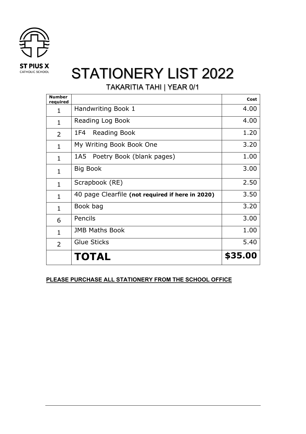

TAKARITIA TAHI | YEAR 0/1

| <b>Number</b><br>required |                                                  | Cost    |
|---------------------------|--------------------------------------------------|---------|
| 1                         | Handwriting Book 1                               | 4.00    |
| $\mathbf{1}$              | Reading Log Book                                 | 4.00    |
| $\overline{2}$            | Reading Book<br>1F4                              | 1.20    |
| $\mathbf{1}$              | My Writing Book Book One                         | 3.20    |
| $\mathbf{1}$              | Poetry Book (blank pages)<br>1A5                 | 1.00    |
| $\mathbf{1}$              | <b>Big Book</b>                                  | 3.00    |
| $\mathbf{1}$              | Scrapbook (RE)                                   | 2.50    |
| $\mathbf{1}$              | 40 page Clearfile (not required if here in 2020) | 3.50    |
| $\mathbf{1}$              | Book bag                                         | 3.20    |
| 6                         | Pencils                                          | 3.00    |
| $\mathbf{1}$              | <b>JMB Maths Book</b>                            | 1.00    |
| $\overline{2}$            | Glue Sticks                                      | 5.40    |
|                           | TOTAL                                            | \$35.00 |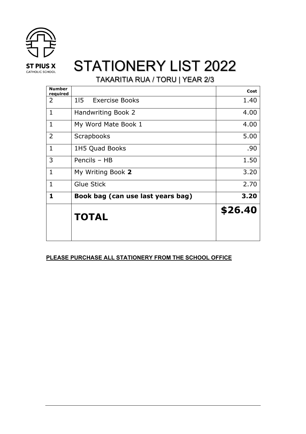

TAKARITIA RUA / TORU | YEAR 2/3

|                                   | Cost    |
|-----------------------------------|---------|
| Exercise Books<br>115             | 1.40    |
| Handwriting Book 2                | 4.00    |
| My Word Mate Book 1               | 4.00    |
| Scrapbooks                        | 5.00    |
| 1H5 Quad Books                    | .90     |
| Pencils - HB                      | 1.50    |
| My Writing Book 2                 | 3.20    |
| <b>Glue Stick</b>                 | 2.70    |
| Book bag (can use last years bag) | 3.20    |
| <b>TOTAL</b>                      | \$26.40 |
|                                   |         |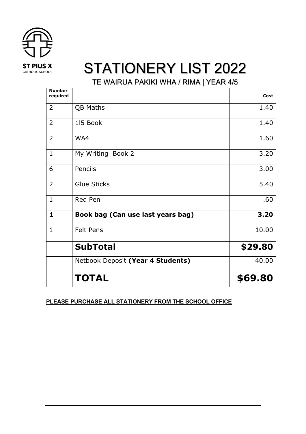

TE WAIRUA PAKIKI WHA / RIMA | YEAR 4/5

| <b>Number</b><br>required |                                   | Cost    |
|---------------------------|-----------------------------------|---------|
| $\overline{2}$            | QB Maths                          | 1.40    |
| $\overline{2}$            | 115 Book                          | 1.40    |
| $\overline{2}$            | WA4                               | 1.60    |
| $\mathbf{1}$              | My Writing Book 2                 | 3.20    |
| 6                         | Pencils                           | 3.00    |
| $\overline{2}$            | <b>Glue Sticks</b>                | 5.40    |
| $\mathbf{1}$              | Red Pen                           | .60     |
| 1                         | Book bag (Can use last years bag) | 3.20    |
| $\mathbf{1}$              | <b>Felt Pens</b>                  | 10.00   |
|                           | <b>SubTotal</b>                   | \$29.80 |
|                           | Netbook Deposit (Year 4 Students) | 40.00   |
|                           | <b>TOTAL</b>                      | \$69.80 |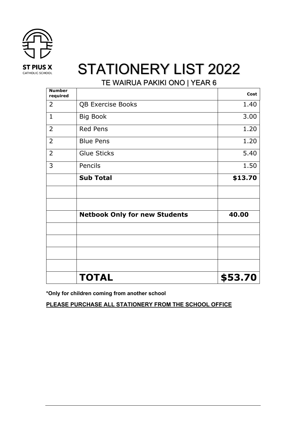

TE WAIRUA PAKIKI ONO | YEAR 6

| <b>Number</b><br>required |                                      | Cost    |
|---------------------------|--------------------------------------|---------|
| $\overline{2}$            | <b>QB Exercise Books</b>             | 1.40    |
| $\mathbf 1$               | <b>Big Book</b>                      | 3.00    |
| $\overline{2}$            | <b>Red Pens</b>                      | 1.20    |
| $\overline{2}$            | <b>Blue Pens</b>                     | 1.20    |
| $\overline{2}$            | <b>Glue Sticks</b>                   | 5.40    |
| 3                         | Pencils                              | 1.50    |
|                           | <b>Sub Total</b>                     | \$13.70 |
|                           |                                      |         |
|                           |                                      |         |
|                           | <b>Netbook Only for new Students</b> | 40.00   |
|                           |                                      |         |
|                           |                                      |         |
|                           |                                      |         |
|                           |                                      |         |
|                           | <b>TOTAL</b>                         | \$53.70 |

**\*Only for children coming from another school**